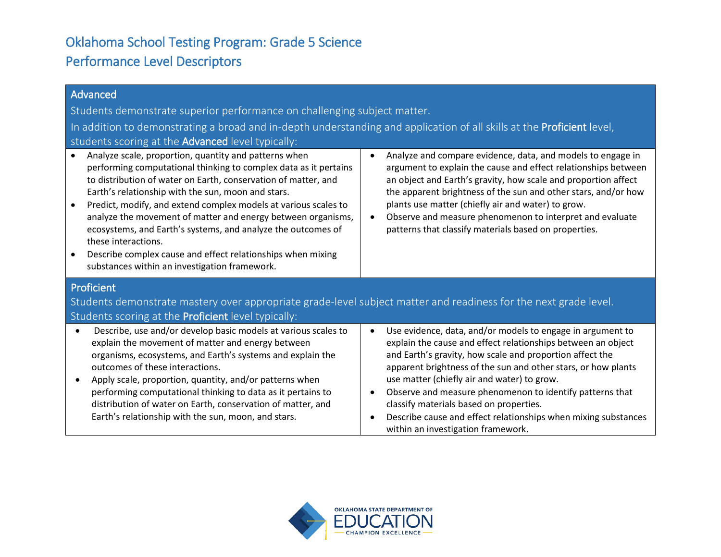## Oklahoma School Testing Program: Grade 5 Science Performance Level Descriptors

| Advanced                                                                                                                                                                                                                                                                                                                                                                                                                                                                                                                                                                                                              |                                                                                                                                                                                                                                                                                                                                                                                                                                                                                                                       |  |
|-----------------------------------------------------------------------------------------------------------------------------------------------------------------------------------------------------------------------------------------------------------------------------------------------------------------------------------------------------------------------------------------------------------------------------------------------------------------------------------------------------------------------------------------------------------------------------------------------------------------------|-----------------------------------------------------------------------------------------------------------------------------------------------------------------------------------------------------------------------------------------------------------------------------------------------------------------------------------------------------------------------------------------------------------------------------------------------------------------------------------------------------------------------|--|
| Students demonstrate superior performance on challenging subject matter.                                                                                                                                                                                                                                                                                                                                                                                                                                                                                                                                              |                                                                                                                                                                                                                                                                                                                                                                                                                                                                                                                       |  |
| In addition to demonstrating a broad and in-depth understanding and application of all skills at the Proficient level,<br>students scoring at the Advanced level typically:                                                                                                                                                                                                                                                                                                                                                                                                                                           |                                                                                                                                                                                                                                                                                                                                                                                                                                                                                                                       |  |
| Analyze scale, proportion, quantity and patterns when<br>performing computational thinking to complex data as it pertains<br>to distribution of water on Earth, conservation of matter, and<br>Earth's relationship with the sun, moon and stars.<br>Predict, modify, and extend complex models at various scales to<br>$\bullet$<br>analyze the movement of matter and energy between organisms,<br>ecosystems, and Earth's systems, and analyze the outcomes of<br>these interactions.<br>Describe complex cause and effect relationships when mixing<br>$\bullet$<br>substances within an investigation framework. | Analyze and compare evidence, data, and models to engage in<br>argument to explain the cause and effect relationships between<br>an object and Earth's gravity, how scale and proportion affect<br>the apparent brightness of the sun and other stars, and/or how<br>plants use matter (chiefly air and water) to grow.<br>Observe and measure phenomenon to interpret and evaluate<br>$\bullet$<br>patterns that classify materials based on properties.                                                             |  |
| Proficient<br>Students demonstrate mastery over appropriate grade-level subject matter and readiness for the next grade level.<br>Students scoring at the Proficient level typically:                                                                                                                                                                                                                                                                                                                                                                                                                                 |                                                                                                                                                                                                                                                                                                                                                                                                                                                                                                                       |  |
| Describe, use and/or develop basic models at various scales to<br>$\bullet$<br>explain the movement of matter and energy between<br>organisms, ecosystems, and Earth's systems and explain the<br>outcomes of these interactions.<br>Apply scale, proportion, quantity, and/or patterns when<br>$\bullet$<br>performing computational thinking to data as it pertains to<br>distribution of water on Earth, conservation of matter, and<br>Earth's relationship with the sun, moon, and stars.                                                                                                                        | Use evidence, data, and/or models to engage in argument to<br>explain the cause and effect relationships between an object<br>and Earth's gravity, how scale and proportion affect the<br>apparent brightness of the sun and other stars, or how plants<br>use matter (chiefly air and water) to grow.<br>Observe and measure phenomenon to identify patterns that<br>classify materials based on properties.<br>Describe cause and effect relationships when mixing substances<br>within an investigation framework. |  |

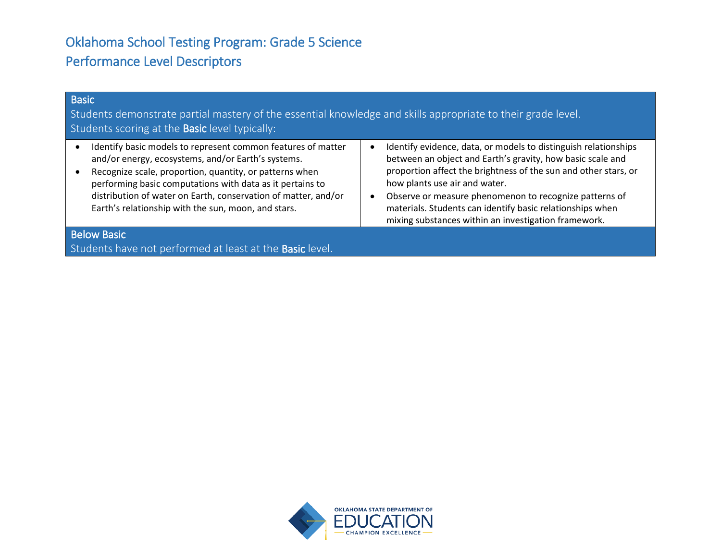## Oklahoma School Testing Program: Grade 5 Science Performance Level Descriptors

| <b>Basic</b><br>Students demonstrate partial mastery of the essential knowledge and skills appropriate to their grade level.<br>Students scoring at the <b>Basic</b> level typically:                                                                                                                                                                               |                                                                                                                                                                                                                                                                                                                                                                                                                  |  |
|---------------------------------------------------------------------------------------------------------------------------------------------------------------------------------------------------------------------------------------------------------------------------------------------------------------------------------------------------------------------|------------------------------------------------------------------------------------------------------------------------------------------------------------------------------------------------------------------------------------------------------------------------------------------------------------------------------------------------------------------------------------------------------------------|--|
| Identify basic models to represent common features of matter<br>and/or energy, ecosystems, and/or Earth's systems.<br>Recognize scale, proportion, quantity, or patterns when<br>performing basic computations with data as it pertains to<br>distribution of water on Earth, conservation of matter, and/or<br>Earth's relationship with the sun, moon, and stars. | Identify evidence, data, or models to distinguish relationships<br>between an object and Earth's gravity, how basic scale and<br>proportion affect the brightness of the sun and other stars, or<br>how plants use air and water.<br>Observe or measure phenomenon to recognize patterns of<br>materials. Students can identify basic relationships when<br>mixing substances within an investigation framework. |  |
| <b>Below Basic</b><br>Students have not performed at least at the <b>Basic</b> level.                                                                                                                                                                                                                                                                               |                                                                                                                                                                                                                                                                                                                                                                                                                  |  |

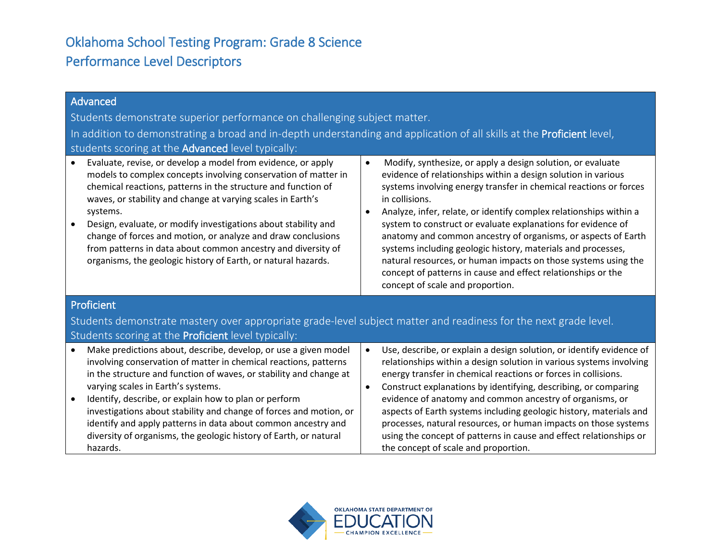## Oklahoma School Testing Program: Grade 8 Science Performance Level Descriptors

| Advanced<br>Students demonstrate superior performance on challenging subject matter.<br>In addition to demonstrating a broad and in-depth understanding and application of all skills at the Proficient level,<br>students scoring at the Advanced level typically:<br>Evaluate, revise, or develop a model from evidence, or apply<br>models to complex concepts involving conservation of matter in<br>chemical reactions, patterns in the structure and function of<br>waves, or stability and change at varying scales in Earth's<br>systems.<br>Design, evaluate, or modify investigations about stability and<br>$\bullet$ | Modify, synthesize, or apply a design solution, or evaluate<br>$\bullet$<br>evidence of relationships within a design solution in various<br>systems involving energy transfer in chemical reactions or forces<br>in collisions.<br>Analyze, infer, relate, or identify complex relationships within a<br>system to construct or evaluate explanations for evidence of |  |
|----------------------------------------------------------------------------------------------------------------------------------------------------------------------------------------------------------------------------------------------------------------------------------------------------------------------------------------------------------------------------------------------------------------------------------------------------------------------------------------------------------------------------------------------------------------------------------------------------------------------------------|------------------------------------------------------------------------------------------------------------------------------------------------------------------------------------------------------------------------------------------------------------------------------------------------------------------------------------------------------------------------|--|
| change of forces and motion, or analyze and draw conclusions<br>from patterns in data about common ancestry and diversity of<br>organisms, the geologic history of Earth, or natural hazards.                                                                                                                                                                                                                                                                                                                                                                                                                                    | anatomy and common ancestry of organisms, or aspects of Earth<br>systems including geologic history, materials and processes,<br>natural resources, or human impacts on those systems using the<br>concept of patterns in cause and effect relationships or the<br>concept of scale and proportion.                                                                    |  |
| Proficient                                                                                                                                                                                                                                                                                                                                                                                                                                                                                                                                                                                                                       |                                                                                                                                                                                                                                                                                                                                                                        |  |
| Students demonstrate mastery over appropriate grade-level subject matter and readiness for the next grade level.                                                                                                                                                                                                                                                                                                                                                                                                                                                                                                                 |                                                                                                                                                                                                                                                                                                                                                                        |  |
| Students scoring at the Proficient level typically:                                                                                                                                                                                                                                                                                                                                                                                                                                                                                                                                                                              |                                                                                                                                                                                                                                                                                                                                                                        |  |
| Make predictions about, describe, develop, or use a given model<br>$\bullet$<br>involving conservation of matter in chemical reactions, patterns<br>in the structure and function of waves, or stability and change at<br>varying scales in Earth's systems.                                                                                                                                                                                                                                                                                                                                                                     | Use, describe, or explain a design solution, or identify evidence of<br>$\bullet$<br>relationships within a design solution in various systems involving<br>energy transfer in chemical reactions or forces in collisions.<br>Construct explanations by identifying, describing, or comparing<br>$\bullet$                                                             |  |
| Identify, describe, or explain how to plan or perform<br>$\bullet$<br>investigations about stability and change of forces and motion, or<br>identify and apply patterns in data about common ancestry and<br>diversity of organisms, the geologic history of Earth, or natural<br>hazards.                                                                                                                                                                                                                                                                                                                                       | evidence of anatomy and common ancestry of organisms, or<br>aspects of Earth systems including geologic history, materials and<br>processes, natural resources, or human impacts on those systems<br>using the concept of patterns in cause and effect relationships or<br>the concept of scale and proportion.                                                        |  |